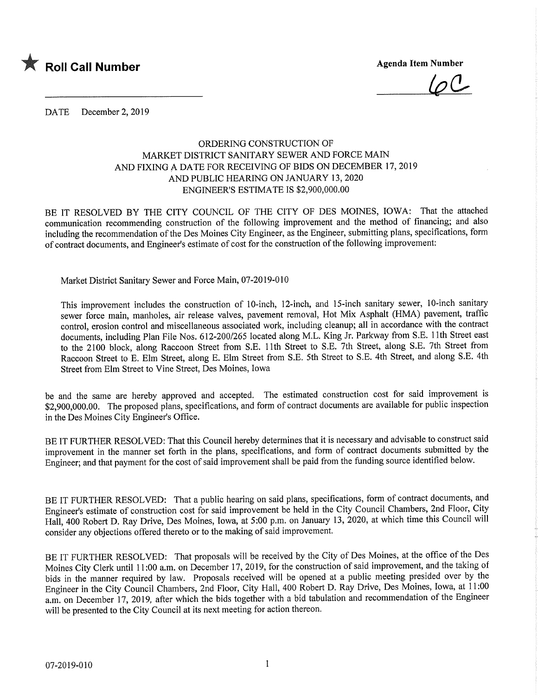

 $10C$ 

DATE December 2, 2019

## ORDERING CONSTRUCTION OF MARKET DISTRICT SANITARY SEWER AND FORCE MAIN AND FIXING A DATE FOR RECEIVING OF BIDS ON DECEMBER 17,2019 AND PUBLIC HEARING ON JANUARY 13,2020 ENGINEER'S ESTIMATE IS \$2,900,000.00

BE IT RESOLVED BY THE CITY COUNCIL OF THE CITY OF DES MOINES, IOWA: That the attached communication recommending construction of the following improvement and the method of financing; and also including the recommendation of the Des Moines City Engineer, as the Engineer, submitting plans, specifications, form of contract documents, and Engineer's estimate of cost for the construction of the following improvement:

Market District Sanitary Sewer and Force Main, 07-2019-010

This improvement includes the construction of 10-inch, 12-inch, and 15-inch sanitary sewer, 10-inch sanitary sewer force main, manholes, air release valves, pavement removal, Hot Mix Asphalt (HMA) pavement, traffic control, erosion control and miscellaneous associated work, including cleanup; all in accordance with the contract documents, including Plan File Nos. 612-200/265 located along M.L. King Jr. Parkway from S.E. 1 1th Street east to the 2100 block, along Raccoon Street from S.E. llth Street to S.E. 7th Street, along S.E. 7th Street from Raccoon Street to E. Elm Street, along E. Elm Street from S.E. 5th Street to S.E. 4th Street, and along S.E. 4th Street from Elm Street to Vine Street, Des Moines, Iowa

be and the same are hereby approved and accepted. The estimated construction cost for said improvement is \$2,900,000.00. The proposed plans, specifications, and form of contract documents are available for public inspection in the Des Moines City Engineer's Office.

BE IT FURTHER RESOLVED: That this Council hereby determines that it is necessary and advisable to construct said improvement in the manner set forth in the plans, specifications, and form of contract documents submitted by the Engineer; and that payment for the cost of said improvement shall be paid from the funding source identified below.

BE IT FURTHER RESOLVED: That a public hearing on said plans, specifications, form of contract documents, and Engineer's estimate of construction cost for said improvement be held in the City Council Chambers, 2nd Floor, City Hall, 400 Robert D. Ray Drive, Des Moines, Iowa, at 5:00 p.m. on January 13, 2020, at which time this Council will consider any objections offered thereto or to the making of said improvement.

BE IT FURTHER RESOLVED: That proposals will be received by the City of Des Moines, at the office of the Des Moines City Clerk until 11:00 a.m. on December 17, 2019, for the construction of said improvement, and the taking of bids in the manner required by law. Proposals received will be opened at a public meeting presided over by the Engineer in the City Council Chambers, 2nd Floor, City Hall, 400 Robert D. Ray Drive, Des Moines, Iowa, at 11:00 a.m. on December 17, 2019, after which the bids together with a bid tabulation and recommendation of the Engineer will be presented to the City Council at its next meeting for action thereon.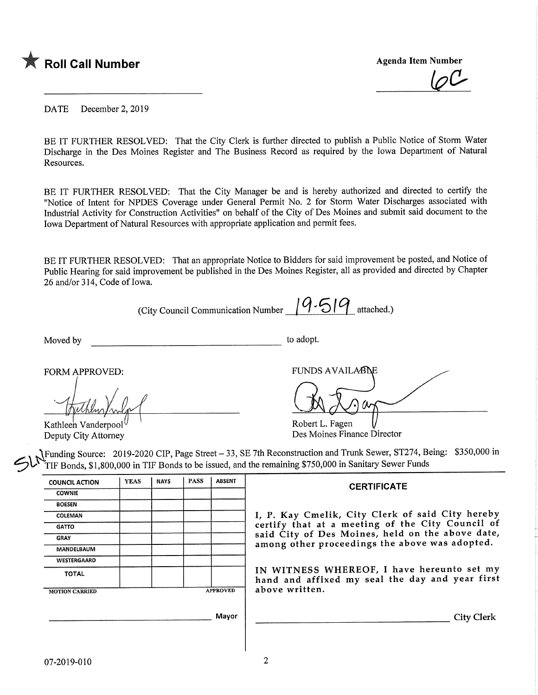

**Agenda Item Number** 

DATE December 2, 2019

BE IT FURTHER RESOLVED: That the City Clerk is further directed to publish a Public Notice of Storm Water Discharge in the Des Moines Register and The Business Record as required by the Iowa Department of Natural Resources.

BE IT FURTHER RESOLVED: That the City Manager be and is hereby authorized and directed to certify the "Notice of Intent for NPDES Coverage under General Permit No. 2 for Storm Water Discharges associated with Industrial Activity for Construction Activities" on behalf of the City of Des Moines and submit said document to the Iowa Department of Natural Resources with appropriate application and permit fees.

BE IT FURTHER RESOLVED: That an appropriate Notice to Bidders for said improvement be posted, and Notice of Public Hearing for said improvement be published in the Des Moines Register, all as provided and directed by Chapter 26 and/or 314, Code of Iowa.

| Moved by                                                      |             |             |             |                 | to adopt.                                                                                                                                                                                                                                                                                               |
|---------------------------------------------------------------|-------------|-------------|-------------|-----------------|---------------------------------------------------------------------------------------------------------------------------------------------------------------------------------------------------------------------------------------------------------------------------------------------------------|
| FORM APPROVED:<br>Kathleen Vanderpool<br>Deputy City Attorney |             |             |             |                 | <b>FUNDS AVAILABLE</b><br>Robert L. Fagen<br>Des Moines Finance Director<br>Funding Source: 2019-2020 CIP, Page Street – 33, SE 7th Reconstruction and Trunk Sewer, ST274, Being: \$350,000 in<br>TIF Bonds, \$1,800,000 in TIF Bonds to be issued, and the remaining \$750,000 in Sanitary Sewer Funds |
| <b>COUNCIL ACTION</b>                                         | <b>YEAS</b> | <b>NAYS</b> | <b>PASS</b> | <b>ABSENT</b>   | <b>CERTIFICATE</b>                                                                                                                                                                                                                                                                                      |
|                                                               |             |             |             |                 |                                                                                                                                                                                                                                                                                                         |
| <b>COWNIE</b>                                                 |             |             |             |                 |                                                                                                                                                                                                                                                                                                         |
| <b>BOESEN</b>                                                 |             |             |             |                 |                                                                                                                                                                                                                                                                                                         |
| COLEMAN                                                       |             |             |             |                 | I, P. Kay Cmelik, City Clerk of said City hereby                                                                                                                                                                                                                                                        |
| <b>GATTO</b>                                                  |             |             |             |                 | certify that at a meeting of the City Council of                                                                                                                                                                                                                                                        |
| <b>GRAY</b>                                                   |             |             |             |                 | said City of Des Moines, held on the above date,                                                                                                                                                                                                                                                        |
| MANDELBAUM                                                    |             |             |             |                 | among other proceedings the above was adopted.                                                                                                                                                                                                                                                          |
| <b>WESTERGAARD</b>                                            |             |             |             |                 |                                                                                                                                                                                                                                                                                                         |
| <b>TOTAL</b>                                                  |             |             |             | <b>APPROVED</b> | IN WITNESS WHEREOF, I have hereunto set my<br>hand and affixed my seal the day and year first<br>above written.                                                                                                                                                                                         |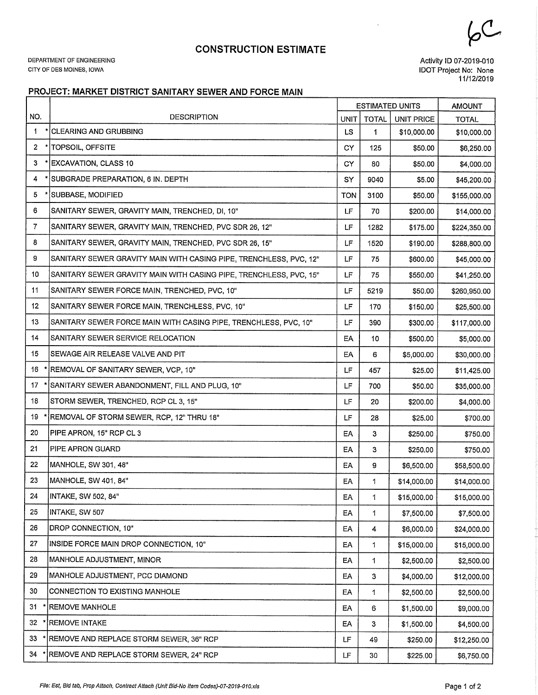## CONSTRUCTION ESTIMATE

DEPARTMENT OF ENGINEERING CITY OF DES MOINES, IOWA

Activity ID 07-2019-010 IDOT Project No: None 11/12/2019

## PROJECT: MARKET DISTRICT SANITARY SEWER AND FORCE MAIN

|                |                                                                    |             |              | <b>ESTIMATED UNITS</b> | <b>AMOUNT</b> |
|----------------|--------------------------------------------------------------------|-------------|--------------|------------------------|---------------|
| NO.            | <b>DESCRIPTION</b>                                                 | <b>UNIT</b> | <b>TOTAL</b> | <b>UNIT PRICE</b>      | <b>TOTAL</b>  |
| 1              | * CLEARING AND GRUBBING                                            | LS.         | 1            | \$10,000.00            | \$10,000.00   |
| $\overline{2}$ | * TOPSOIL, OFFSITE                                                 | CY.         | 125          | \$50.00                | \$6,250.00    |
| 3              | ' EXCAVATION, CLASS 10                                             | <b>CY</b>   | 80           | \$50.00                | \$4,000.00    |
| 4              | SUBGRADE PREPARATION, 6 IN. DEPTH                                  | SY          | 9040         | \$5.00                 | \$45,200.00   |
| 5              | ' [SUBBASE, MODIFIED                                               | <b>TON</b>  | 3100         | \$50.00                | \$155,000.00  |
| 6              | SANITARY SEWER, GRAVITY MAIN, TRENCHED, DI, 10"                    | LF          | 70           | \$200.00               | \$14,000.00   |
| 7              | SANITARY SEWER, GRAVITY MAIN, TRENCHED, PVC SDR 26, 12"            | LF          | 1282         | \$175.00               | \$224,350.00  |
| 8              | SANITARY SEWER, GRAVITY MAIN, TRENCHED, PVC SDR 26, 15"            | LF          | 1520         | \$190.00               | \$288,800.00  |
| 9              | SANITARY SEWER GRAVITY MAIN WITH CASING PIPE, TRENCHLESS, PVC, 12" | LF          | 75           | \$600.00               | \$45,000.00   |
| 10             | SANITARY SEWER GRAVITY MAIN WITH CASING PIPE, TRENCHLESS, PVC, 15" | LF          | 75           | \$550.00               | \$41,250.00   |
| 11             | SANITARY SEWER FORCE MAIN, TRENCHED, PVC, 10"                      | LF          | 5219         | \$50.00                | \$260,950.00  |
| 12             | SANITARY SEWER FORCE MAIN, TRENCHLESS, PVC, 10"                    | LF          | 170          | \$150.00               | \$25,500.00   |
| 13             | SANITARY SEWER FORCE MAIN WITH CASING PIPE, TRENCHLESS, PVC, 10"   | LF          | 390          | \$300.00               | \$117,000.00  |
| 14             | SANITARY SEWER SERVICE RELOCATION                                  | EΑ          | 10           | \$500.00               | \$5,000.00    |
| 15             | SEWAGE AIR RELEASE VALVE AND PIT                                   | EA          | 6            | \$5,000.00             | \$30,000.00   |
| 16             | REMOVAL OF SANITARY SEWER, VCP, 10"                                | LF          | 457          | \$25.00                | \$11,425.00   |
| 17             | SANITARY SEWER ABANDONMENT, FILL AND PLUG, 10"                     | LF          | 700          | \$50.00                | \$35,000.00   |
| 18             | STORM SEWER, TRENCHED, RCP CL 3, 15"                               | LF          | 20           | \$200.00               | \$4,000.00    |
| 19             | REMOVAL OF STORM SEWER, RCP, 12" THRU 18"                          | LF          | 28           | \$25.00                | \$700.00      |
| 20             | PIPE APRON, 15" RCP CL 3                                           | EA          | 3            | \$250.00               | \$750.00      |
| 21             | PIPE APRON GUARD                                                   | EA          | 3            | \$250.00               | \$750.00      |
| 22             | MANHOLE, SW 301, 48"                                               | EA          | 9            | \$6,500.00             | \$58,500.00   |
| 23             | MANHOLE, SW 401, 84"                                               | EA          | 1            | \$14,000.00            | \$14,000.00   |
| 24             | INTAKE, SW 502, 84"                                                | EA          | 1            | \$15,000.00            | \$15,000.00   |
| 25             | INTAKE, SW 507                                                     | EA          | 1            | \$7,500.00             | \$7,500.00    |
| 26             | DROP CONNECTION, 10"                                               | EA          | 4            | \$6,000.00             | \$24,000.00   |
| 27             | INSIDE FORCE MAIN DROP CONNECTION, 10"                             | EA          | 1            | \$15,000.00            | \$15,000.00   |
| 28             | MANHOLE ADJUSTMENT, MINOR                                          | EA          | 1            | \$2,500.00             | \$2,500.00    |
| 29             | MANHOLE ADJUSTMENT, PCC DIAMOND                                    | EA          | 3            | \$4,000.00             | \$12,000.00   |
| 30             | CONNECTION TO EXISTING MANHOLE                                     | EA          | 1            | \$2,500.00             | \$2,500.00    |
| 31             | <b>REMOVE MANHOLE</b>                                              | EA          | 6            | \$1,500.00             | \$9,000.00    |
| 32             | <b>REMOVE INTAKE</b>                                               | EA          | 3            | \$1,500.00             | \$4,500.00    |
| 33             | REMOVE AND REPLACE STORM SEWER, 36" RCP                            | LF          | 49           | \$250.00               | \$12,250.00   |
| 34             | REMOVE AND REPLACE STORM SEWER, 24" RCP                            | LF          | 30           | \$225.00               | \$6,750.00    |

 $6<sup>C</sup>$